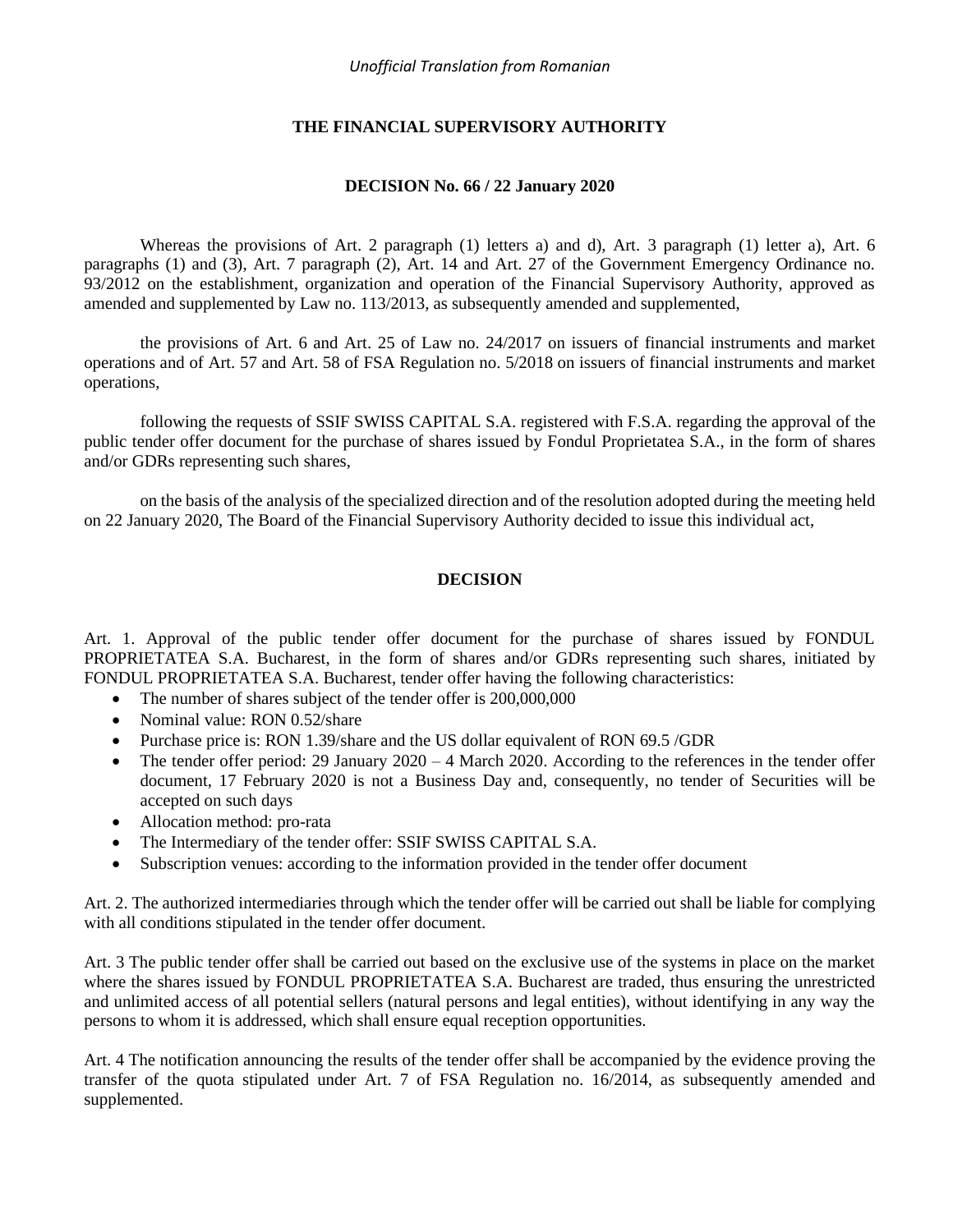## **THE FINANCIAL SUPERVISORY AUTHORITY**

#### **DECISION No. 66 / 22 January 2020**

Whereas the provisions of Art. 2 paragraph (1) letters a) and d), Art. 3 paragraph (1) letter a), Art. 6 paragraphs (1) and (3), Art. 7 paragraph (2), Art. 14 and Art. 27 of the Government Emergency Ordinance no. 93/2012 on the establishment, organization and operation of the Financial Supervisory Authority, approved as amended and supplemented by Law no. 113/2013, as subsequently amended and supplemented,

the provisions of Art. 6 and Art. 25 of Law no. 24/2017 on issuers of financial instruments and market operations and of Art. 57 and Art. 58 of FSA Regulation no. 5/2018 on issuers of financial instruments and market operations,

following the requests of SSIF SWISS CAPITAL S.A. registered with F.S.A. regarding the approval of the public tender offer document for the purchase of shares issued by Fondul Proprietatea S.A., in the form of shares and/or GDRs representing such shares,

on the basis of the analysis of the specialized direction and of the resolution adopted during the meeting held on 22 January 2020, The Board of the Financial Supervisory Authority decided to issue this individual act,

#### **DECISION**

Art. 1. Approval of the public tender offer document for the purchase of shares issued by FONDUL PROPRIETATEA S.A. Bucharest, in the form of shares and/or GDRs representing such shares, initiated by FONDUL PROPRIETATEA S.A. Bucharest, tender offer having the following characteristics:

- The number of shares subject of the tender offer is 200,000,000
- Nominal value: RON 0.52/share
- Purchase price is: RON 1.39/share and the US dollar equivalent of RON 69.5 /GDR
- The tender offer period: 29 January 2020 4 March 2020. According to the references in the tender offer document, 17 February 2020 is not a Business Day and, consequently, no tender of Securities will be accepted on such days
- Allocation method: pro-rata
- The Intermediary of the tender offer: SSIF SWISS CAPITAL S.A.
- Subscription venues: according to the information provided in the tender offer document

Art. 2. The authorized intermediaries through which the tender offer will be carried out shall be liable for complying with all conditions stipulated in the tender offer document.

Art. 3 The public tender offer shall be carried out based on the exclusive use of the systems in place on the market where the shares issued by FONDUL PROPRIETATEA S.A. Bucharest are traded, thus ensuring the unrestricted and unlimited access of all potential sellers (natural persons and legal entities), without identifying in any way the persons to whom it is addressed, which shall ensure equal reception opportunities.

Art. 4 The notification announcing the results of the tender offer shall be accompanied by the evidence proving the transfer of the quota stipulated under Art. 7 of FSA Regulation no. 16/2014, as subsequently amended and supplemented.